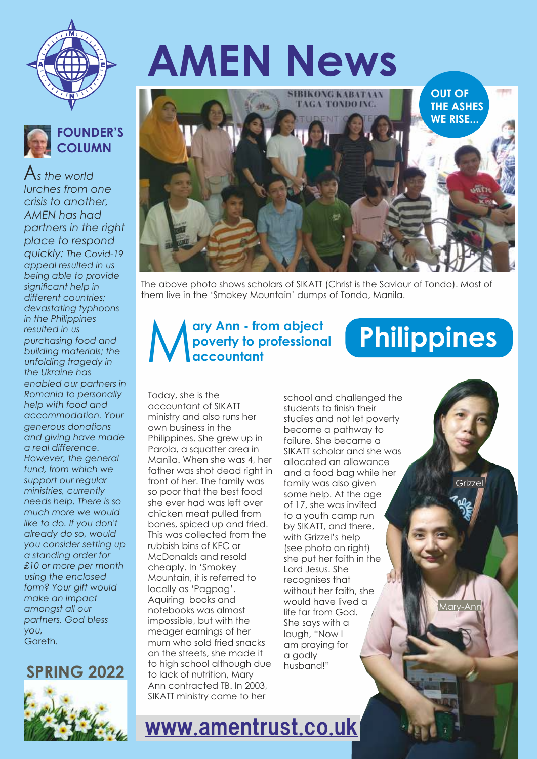



*you,*  Gareth.  $A_s$  the world *lurches from one crisis to another, AMEN has had partners in the right place to respond quickly: The Covid-19 appeal resulted in us being able to provide signicant help in different countries; devastating typhoons in the Philippines resulted in us purchasing food and building materials; the unfolding tragedy in the Ukraine has enabled our partners in Romania to personally help with food and accommodation. Your generous donations and giving have made a real difference. However, the general fund, from which we support our regular ministries, currently needs help. There is so much more we would like to do. If you don't already do so, would you consider setting up a standing order for £10 or more per month using the enclosed form? Your gift would make an impact amongst all our partners. God bless*

#### **SPRING 2022**



# **AMEN News**



The above photo shows scholars of SIKATT (Christ is the Saviour of Tondo). Most of them live in the 'Smokey Mountain' dumps of Tondo, Manila.

#### **ary Ann - from abject poverty to professional accountant**

#### Today, she is the accountant of SIKATT ministry and also runs her own business in the Philippines. She grew up in Parola, a squatter area in Manila. When she was 4, her father was shot dead right in front of her. The family was so poor that the best food she ever had was left over chicken meat pulled from bones, spiced up and fried. This was collected from the rubbish bins of KFC or McDonalds and resold cheaply. In 'Smokey Mountain, it is referred to locally as 'Pagpag'. Aquiring books and notebooks was almost impossible, but with the meager earnings of her mum who sold fried snacks on the streets, she made it to high school although due to lack of nutrition, Mary Ann contracted TB. In 2003, SIKATT ministry came to her

school and challenged the students to finish their studies and not let poverty become a pathway to failure. She became a SIKATT scholar and she was allocated an allowance and a food bag while her family was also given some help. At the age of 17, she was invited to a youth camp run by SIKATT, and there, with Grizzel's help (see photo on right) she put her faith in the Lord Jesus. She recognises that without her faith, she would have lived a life far from God. She says with a laugh, "Now I am praying for a godly husband!"

Mary-Ani

Grizzel

**Philippines** 

www.amentrust.co.uk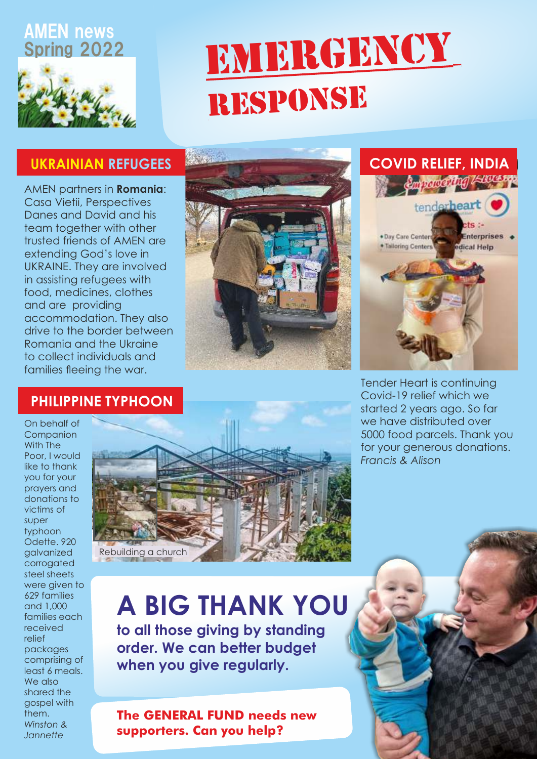#### AMEN news Spring 2022



# EMERGENCY RESPONSE

### **UKRAINIAN REFUGEES**

and are providing accommodation. They also drive to the border between Romania and the Ukraine to collect individuals and families fleeing the war. AMEN partners in **Romania**: Casa Vietii, Perspectives Danes and David and his team together with other trusted friends of AMEN are extending God's love in UKRAINE. They are involved in assisting refugees with food, medicines, clothes





Tender Heart is continuing Covid-19 relief which we started 2 years ago. So far we have distributed over 5000 food parcels. Thank you for your generous donations. *Francis & Alison*

### **PHILIPPINE TYPHOON**

*Winston & Jannette* On behalf of Companion With The Poor, I would like to thank you for your prayers and donations to victims of super typhoon Odette. 920 galvanized corrogated steel sheets were given to 629 families and 1,000 families each received relief packages comprising of least 6 meals. We also shared the gospel with them.



### **A BIG THANK YOU**

**to all those giving by standing order. We can better budget when you give regularly.** 

**The GENERAL FUND needs new supporters. Can you help?**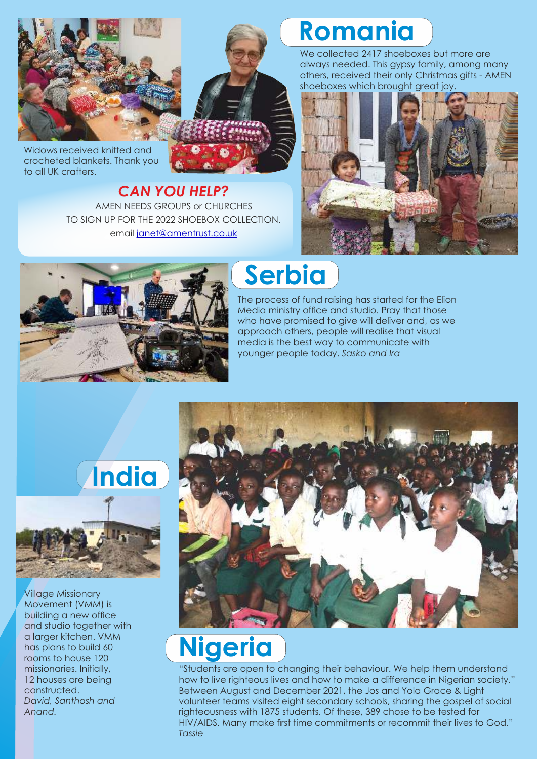

Widows received knitted and crocheted blankets. Thank you to all UK crafters.

#### AMEN NEEDS GROUPS or CHURCHES email janet@amentrust.co.uk TO SIGN UP FOR THE 2022 SHOEBOX COLLECTION. *CAN YOU HELP?*

### **Romania**

We collected 2417 shoeboxes but more are always needed. This gypsy family, among many others, received their only Christmas gifts - AMEN shoeboxes which brought great joy.





### **Serbia**

The process of fund raising has started for the Elion Media ministry office and studio. Pray that those who have promised to give will deliver and, as we approach others, people will realise that visual media is the best way to communicate with younger people today. *Sasko and Ira*



## **Nigeria**

Between August and December 2021, the Jos and Yola Grace & Light volunteer teams visited eight secondary schools, sharing the gospel of social righteousness with 1875 students. Of these, 389 chose to be tested for HIV/AIDS. Many make first time commitments or recommit their lives to God." *Tassie* "Students are open to changing their behaviour. We help them understand how to live righteous lives and how to make a difference in Nigerian society."



Village Missionary Movement (VMM) is building a new office and studio together with a larger kitchen. VMM has plans to build 60 rooms to house 120 missionaries. Initially, 12 houses are being constructed. *David, Santhosh and Anand.*